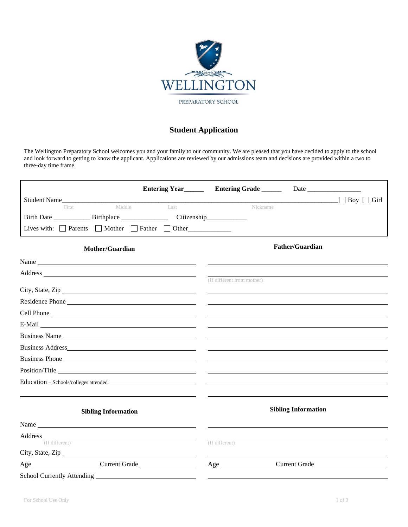

## **Student Application**

The Wellington Preparatory School welcomes you and your family to our community. We are pleased that you have decided to apply to the school and look forward to getting to know the applicant. Applications are reviewed by our admissions team and decisions are provided within a two to three-day time frame.

|                                                                                                                                                                                                                                |        |      | Entering Year<br><u>Entering Grade</u> Date<br><u>Date</u> |  |                        |
|--------------------------------------------------------------------------------------------------------------------------------------------------------------------------------------------------------------------------------|--------|------|------------------------------------------------------------|--|------------------------|
| Student Name                                                                                                                                                                                                                   |        |      |                                                            |  | $\Box$ Boy $\Box$ Girl |
| First                                                                                                                                                                                                                          | Middle | Last | Nickname                                                   |  |                        |
|                                                                                                                                                                                                                                |        |      | Citizenship_____________                                   |  |                        |
| Lives with: $\Box$ Parents $\Box$ Mother $\Box$ Father $\Box$ Other                                                                                                                                                            |        |      |                                                            |  |                        |
| Mother/Guardian                                                                                                                                                                                                                |        |      | <b>Father/Guardian</b>                                     |  |                        |
|                                                                                                                                                                                                                                |        |      |                                                            |  |                        |
| Address and the contract of the contract of the contract of the contract of the contract of the contract of the contract of the contract of the contract of the contract of the contract of the contract of the contract of th |        |      |                                                            |  |                        |
|                                                                                                                                                                                                                                |        |      | (If different from mother)                                 |  |                        |
| Residence Phone                                                                                                                                                                                                                |        |      |                                                            |  |                        |
| Cell Phone                                                                                                                                                                                                                     |        |      |                                                            |  |                        |
|                                                                                                                                                                                                                                |        |      |                                                            |  |                        |
| Business Name                                                                                                                                                                                                                  |        |      |                                                            |  |                        |
|                                                                                                                                                                                                                                |        |      |                                                            |  |                        |
| Business Phone                                                                                                                                                                                                                 |        |      |                                                            |  |                        |
| Position/Title                                                                                                                                                                                                                 |        |      |                                                            |  |                        |
| Education – Schools/colleges attended                                                                                                                                                                                          |        |      |                                                            |  |                        |
|                                                                                                                                                                                                                                |        |      |                                                            |  |                        |
| <b>Sibling Information</b>                                                                                                                                                                                                     |        |      | <b>Sibling Information</b>                                 |  |                        |
|                                                                                                                                                                                                                                |        |      |                                                            |  |                        |
|                                                                                                                                                                                                                                |        |      |                                                            |  |                        |
| (If different)                                                                                                                                                                                                                 |        |      | (If different)                                             |  |                        |
|                                                                                                                                                                                                                                |        |      |                                                            |  |                        |
| Age Current Grade                                                                                                                                                                                                              |        |      | Age Current Grade                                          |  |                        |
|                                                                                                                                                                                                                                |        |      |                                                            |  |                        |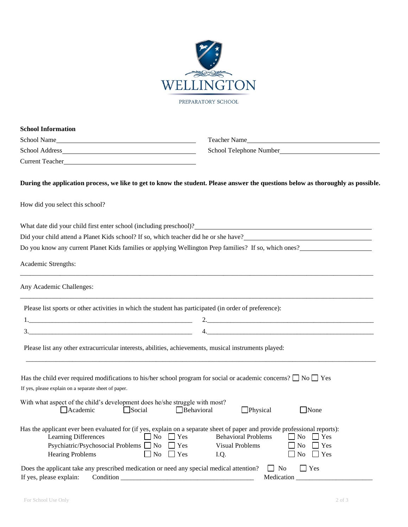

| School Name                                                                                                               | Teacher Name                                                                                                                                                                                                                    |
|---------------------------------------------------------------------------------------------------------------------------|---------------------------------------------------------------------------------------------------------------------------------------------------------------------------------------------------------------------------------|
|                                                                                                                           | School Telephone Number<br><u>Letter</u> <sub>2</sub>                                                                                                                                                                           |
|                                                                                                                           |                                                                                                                                                                                                                                 |
|                                                                                                                           | During the application process, we like to get to know the student. Please answer the questions below as thoroughly as possible.                                                                                                |
| How did you select this school?                                                                                           |                                                                                                                                                                                                                                 |
|                                                                                                                           | What date did your child first enter school (including preschool)?<br>The manufacturer of the state of the state of the state of the state of the state of the state of the state of the state of the state of the state of the |
|                                                                                                                           |                                                                                                                                                                                                                                 |
|                                                                                                                           | Do you know any current Planet Kids families or applying Wellington Prep families? If so, which ones?                                                                                                                           |
| Academic Strengths:                                                                                                       |                                                                                                                                                                                                                                 |
| Any Academic Challenges:                                                                                                  |                                                                                                                                                                                                                                 |
| Please list sports or other activities in which the student has participated (in order of preference):                    |                                                                                                                                                                                                                                 |
|                                                                                                                           |                                                                                                                                                                                                                                 |
|                                                                                                                           | 4.                                                                                                                                                                                                                              |
| Please list any other extracurricular interests, abilities, achievements, musical instruments played:                     |                                                                                                                                                                                                                                 |
| Has the child ever required modifications to his/her school program for social or academic concerns? $\Box$ No $\Box$ Yes |                                                                                                                                                                                                                                 |
| If yes, please explain on a separate sheet of paper.                                                                      |                                                                                                                                                                                                                                 |
| With what aspect of the child's development does he/she struggle with most?<br>Academic Social Behavioral                 | $\Box$ Physical $\Box$ None                                                                                                                                                                                                     |
|                                                                                                                           | Has the applicant ever been evaluated for (if yes, explain on a separate sheet of paper and provide professional reports):<br><b>Behavioral Problems</b><br>$\Gamma$ Yes<br>No<br>Yes                                           |

If yes, please explain: Condition \_\_\_\_\_\_\_\_\_\_\_\_\_\_\_\_\_\_\_\_\_\_\_\_\_\_\_\_\_\_\_\_\_\_\_\_\_\_\_\_ Medication \_\_\_\_\_\_\_\_\_\_\_\_\_\_\_\_\_\_\_\_\_\_\_